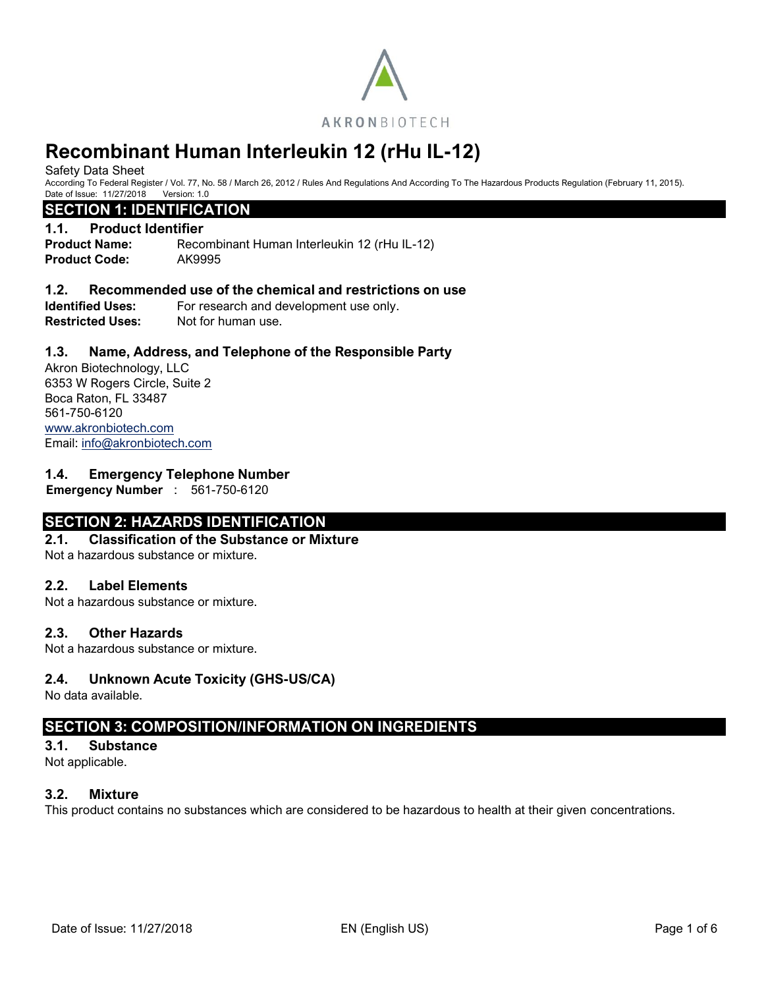

Safety Data Sheet

According To Federal Register / Vol. 77, No. 58 / March 26, 2012 / Rules And Regulations And According To The Hazardous Products Regulation (February 11, 2015). Date of Issue: 11/27/2018 Version: 1.0

#### **SECTION 1: IDENTIFICATION**

#### **1.1. Product Identifier**

**Product Name:** Recombinant Human Interleukin 12 (rHu IL-12) **Product Code:** AK9995

#### **1.2. Recommended use of the chemical and restrictions on use**

**Identified Uses:** For research and development use only. **Restricted Uses:** Not for human use.

### **1.3. Name, Address, and Telephone of the Responsible Party**

Akron Biotechnology, LLC 6353 W Rogers Circle, Suite 2 Boca Raton, FL 33487 561-750-6120 [www.akronbiotech.com](http://www.akronbiotech.com/%3c/a) Email: [info@akronbiotech.com](mailto:info@akronbiotech.com)

#### **1.4. Emergency Telephone Number**

**Emergency Number** : 561-750-6120

### **SECTION 2: HAZARDS IDENTIFICATION**

#### **2.1. Classification of the Substance or Mixture**

Not a hazardous substance or mixture.

#### **2.2. Label Elements**

Not a hazardous substance or mixture.

#### **2.3. Other Hazards**

Not a hazardous substance or mixture.

#### **2.4. Unknown Acute Toxicity (GHS-US/CA)**

No data available.

### **SECTION 3: COMPOSITION/INFORMATION ON INGREDIENTS**

#### **3.1. Substance**

Not applicable.

#### **3.2. Mixture**

This product contains no substances which are considered to be hazardous to health at their given concentrations.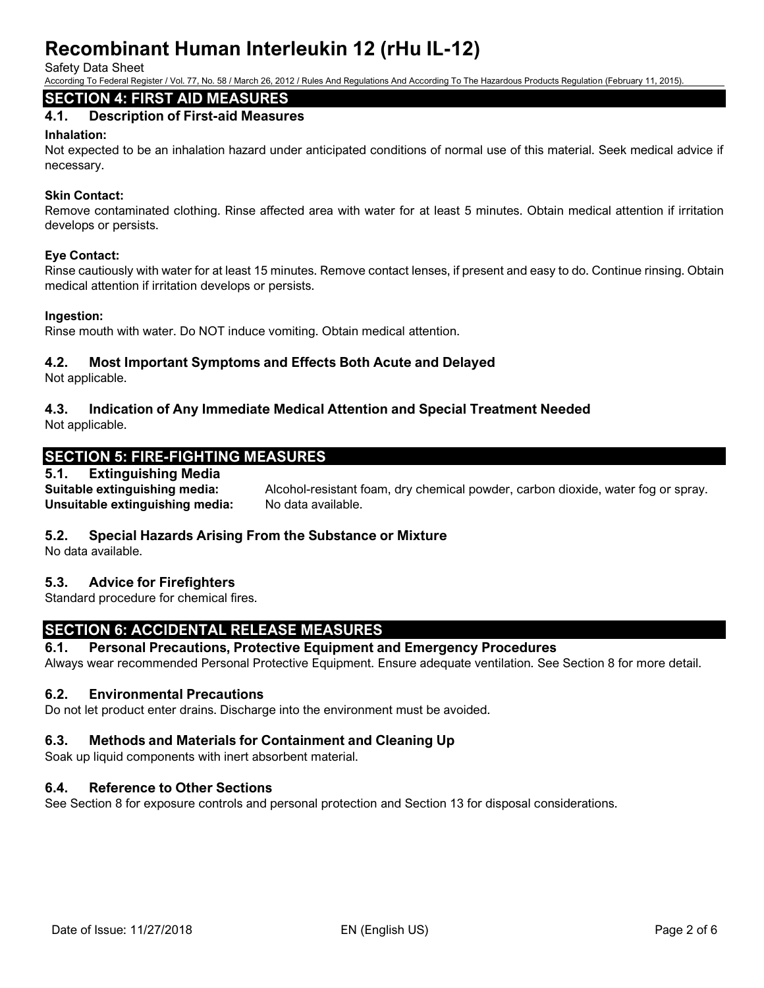Safety Data Sheet

According To Federal Register / Vol. 77, No. 58 / March 26, 2012 / Rules And Regulations And According To The Hazardous Products Regulation (February 11, 2015).

# **SECTION 4: FIRST AID MEASURES**

# **4.1. Description of First-aid Measures**

#### **Inhalation:**

Not expected to be an inhalation hazard under anticipated conditions of normal use of this material. Seek medical advice if necessary.

#### **Skin Contact:**

Remove contaminated clothing. Rinse affected area with water for at least 5 minutes. Obtain medical attention if irritation develops or persists.

#### **Eye Contact:**

Rinse cautiously with water for at least 15 minutes. Remove contact lenses, if present and easy to do. Continue rinsing. Obtain medical attention if irritation develops or persists.

#### **Ingestion:**

Rinse mouth with water. Do NOT induce vomiting. Obtain medical attention.

#### **4.2. Most Important Symptoms and Effects Both Acute and Delayed**

Not applicable.

### **4.3. Indication of Any Immediate Medical Attention and Special Treatment Needed**

Not applicable.

# **SECTION 5: FIRE-FIGHTING MEASURES**

#### **5.1. Extinguishing Media**

**Suitable extinguishing media:** Alcohol-resistant foam, dry chemical powder, carbon dioxide, water fog or spray. Unsuitable extinguishing media: No data available.

#### **5.2. Special Hazards Arising From the Substance or Mixture**

No data available.

#### **5.3. Advice for Firefighters**

Standard procedure for chemical fires.

### **SECTION 6: ACCIDENTAL RELEASE MEASURES**

#### **6.1. Personal Precautions, Protective Equipment and Emergency Procedures**

Always wear recommended Personal Protective Equipment. Ensure adequate ventilation. See Section 8 for more detail.

#### **6.2. Environmental Precautions**

Do not let product enter drains. Discharge into the environment must be avoided.

# **6.3. Methods and Materials for Containment and Cleaning Up**

Soak up liquid components with inert absorbent material.

# **6.4. Reference to Other Sections**

See Section 8 for exposure controls and personal protection and Section 13 for disposal considerations.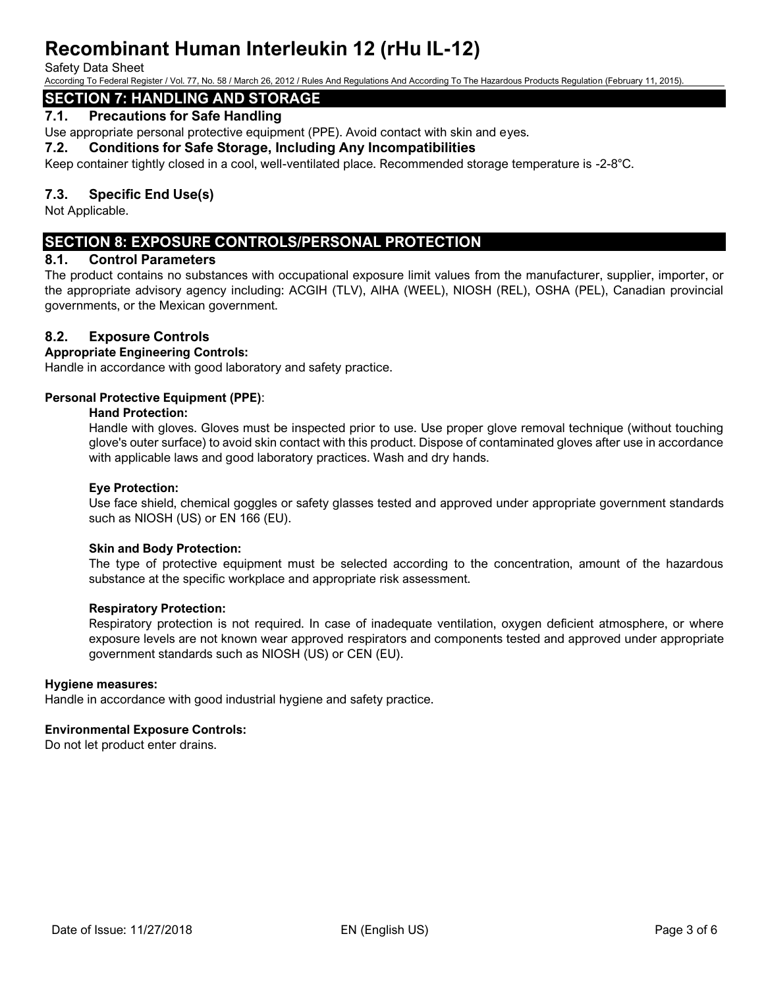#### Safety Data Sheet

According To Federal Register / Vol. 77, No. 58 / March 26, 2012 / Rules And Regulations And According To The Hazardous Products Regulation (February 11, 2015).

# **SECTION 7: HANDLING AND STORAGE**

### **7.1. Precautions for Safe Handling**

Use appropriate personal protective equipment (PPE). Avoid contact with skin and eyes.

**7.2. Conditions for Safe Storage, Including Any Incompatibilities** 

Keep container tightly closed in a cool, well-ventilated place. Recommended storage temperature is -2-8°C.

# **7.3. Specific End Use(s)**

Not Applicable.

# **SECTION 8: EXPOSURE CONTROLS/PERSONAL PROTECTION**

#### **8.1. Control Parameters**

The product contains no substances with occupational exposure limit values from the manufacturer, supplier, importer, or the appropriate advisory agency including: ACGIH (TLV), AIHA (WEEL), NIOSH (REL), OSHA (PEL), Canadian provincial governments, or the Mexican government.

### **8.2. Exposure Controls**

#### **Appropriate Engineering Controls:**

Handle in accordance with good laboratory and safety practice.

#### **Personal Protective Equipment (PPE)**:

#### **Hand Protection:**

Handle with gloves. Gloves must be inspected prior to use. Use proper glove removal technique (without touching glove's outer surface) to avoid skin contact with this product. Dispose of contaminated gloves after use in accordance with applicable laws and good laboratory practices. Wash and dry hands.

#### **Eye Protection:**

Use face shield, chemical goggles or safety glasses tested and approved under appropriate government standards such as NIOSH (US) or EN 166 (EU).

#### **Skin and Body Protection:**

The type of protective equipment must be selected according to the concentration, amount of the hazardous substance at the specific workplace and appropriate risk assessment.

#### **Respiratory Protection:**

Respiratory protection is not required. In case of inadequate ventilation, oxygen deficient atmosphere, or where exposure levels are not known wear approved respirators and components tested and approved under appropriate government standards such as NIOSH (US) or CEN (EU).

#### **Hygiene measures:**

Handle in accordance with good industrial hygiene and safety practice.

#### **Environmental Exposure Controls:**

Do not let product enter drains.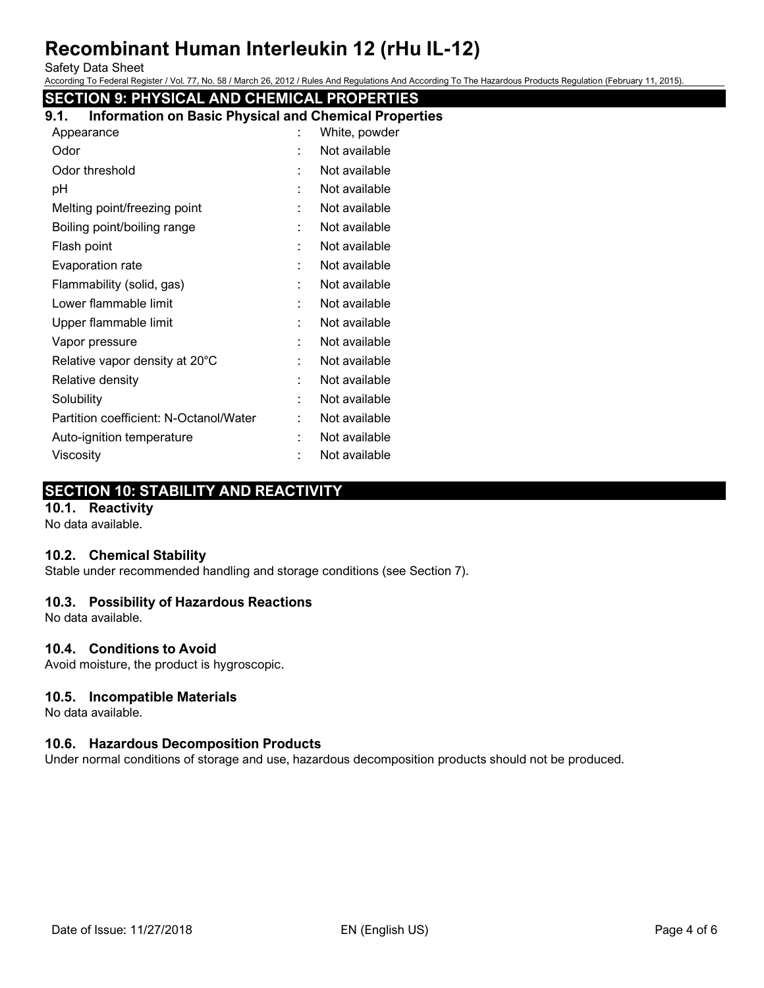Safety Data Sheet

According To Federal Register / Vol. 77, No. 58 / March 26, 2012 / Rules And Regulations And According To The Hazardous Products Regulation (February 11, 2015).

# **SECTION 9: PHYSICAL AND CHEMICAL PROPERTIES**

| 9.1. |            |  | <b>Information on Basic Physical and Chemical Properties</b> |
|------|------------|--|--------------------------------------------------------------|
|      | Appearance |  | White, powder                                                |

|   | <i>vville, powde</i> |
|---|----------------------|
|   | Not available        |
|   | Not available        |
|   | Not available        |
|   | Not available        |
|   | Not available        |
|   | Not available        |
|   | Not available        |
|   | Not available        |
| ٠ | Not available        |
|   | Not available        |
|   | Not available        |
|   | Not available        |
| ٠ | Not available        |
|   | Not available        |
|   | Not available        |
|   | Not available        |
|   | Not available        |
|   |                      |

# **SECTION 10: STABILITY AND REACTIVITY**

# **10.1. Reactivity**

No data available.

#### **10.2. Chemical Stability**

Stable under recommended handling and storage conditions (see Section 7).

#### **10.3. Possibility of Hazardous Reactions**

No data available.

#### **10.4. Conditions to Avoid**

Avoid moisture, the product is hygroscopic.

#### **10.5. Incompatible Materials**

No data available.

#### **10.6. Hazardous Decomposition Products**

Under normal conditions of storage and use, hazardous decomposition products should not be produced.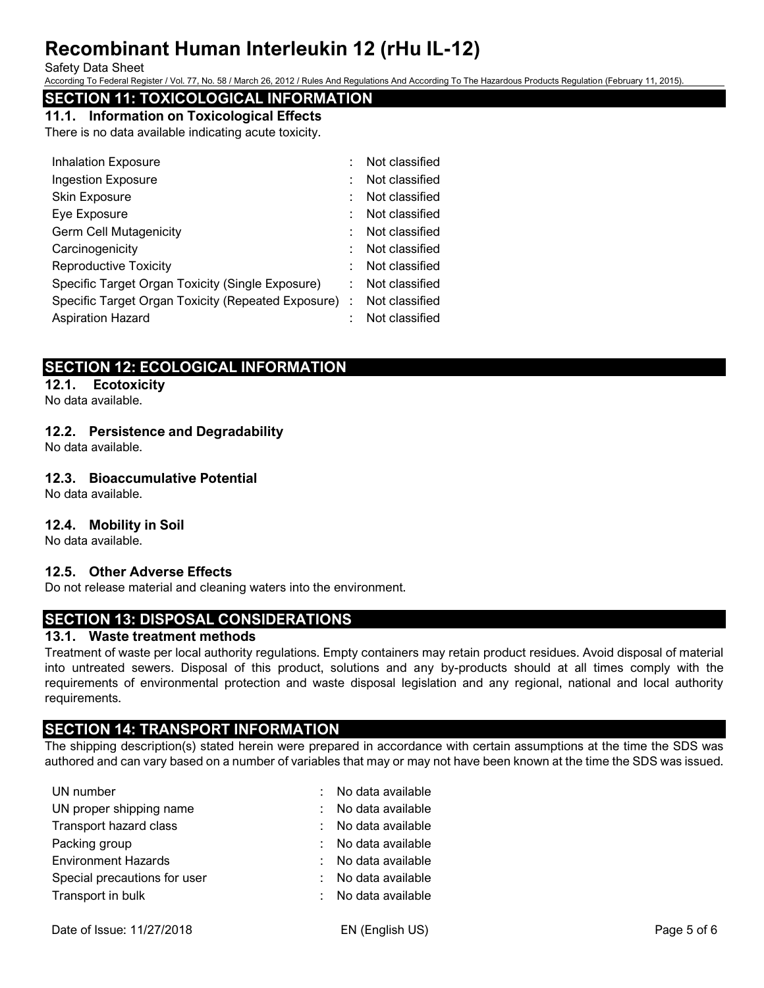#### Safety Data Sheet

According To Federal Register / Vol. 77, No. 58 / March 26, 2012 / Rules And Regulations And According To The Hazardous Products Regulation (February 11, 2015).

# **SECTION 11: TOXICOLOGICAL INFORMATION**

**11.1. Information on Toxicological Effects**

There is no data available indicating acute toxicity.

|    | Not classified                                       |
|----|------------------------------------------------------|
|    | Not classified                                       |
|    | Not classified                                       |
|    | Not classified                                       |
|    | Not classified                                       |
|    | Not classified                                       |
|    | Not classified                                       |
| ۰. | Not classified                                       |
|    | Not classified                                       |
|    | Not classified                                       |
|    | Specific Target Organ Toxicity (Repeated Exposure) : |

# **SECTION 12: ECOLOGICAL INFORMATION**

#### **12.1. Ecotoxicity**

No data available.

### **12.2. Persistence and Degradability**

No data available.

### **12.3. Bioaccumulative Potential**

No data available.

#### **12.4. Mobility in Soil**

No data available.

#### **12.5. Other Adverse Effects**

Do not release material and cleaning waters into the environment.

# **SECTION 13: DISPOSAL CONSIDERATIONS**

### **13.1. Waste treatment methods**

Treatment of waste per local authority regulations. Empty containers may retain product residues. Avoid disposal of material into untreated sewers. Disposal of this product, solutions and any by-products should at all times comply with the requirements of environmental protection and waste disposal legislation and any regional, national and local authority requirements.

# **SECTION 14: TRANSPORT INFORMATION**

The shipping description(s) stated herein were prepared in accordance with certain assumptions at the time the SDS was authored and can vary based on a number of variables that may or may not have been known at the time the SDS was issued.

| UN number                    | : No data available |
|------------------------------|---------------------|
| UN proper shipping name      | : No data available |
| Transport hazard class       | : No data available |
| Packing group                | : No data available |
| <b>Environment Hazards</b>   | : No data available |
| Special precautions for user | : No data available |
| Transport in bulk            | : No data available |
|                              |                     |